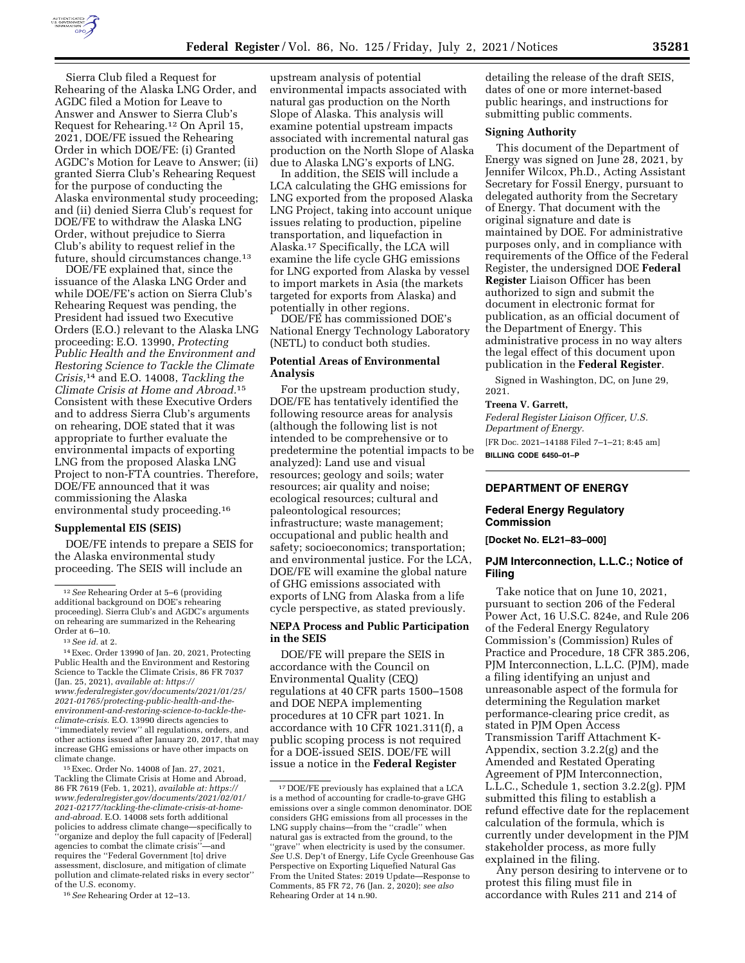

Sierra Club filed a Request for Rehearing of the Alaska LNG Order, and AGDC filed a Motion for Leave to Answer and Answer to Sierra Club's Request for Rehearing.12 On April 15, 2021, DOE/FE issued the Rehearing Order in which DOE/FE: (i) Granted AGDC's Motion for Leave to Answer; (ii) granted Sierra Club's Rehearing Request for the purpose of conducting the Alaska environmental study proceeding; and (ii) denied Sierra Club's request for DOE/FE to withdraw the Alaska LNG Order, without prejudice to Sierra Club's ability to request relief in the future, should circumstances change.13

DOE/FE explained that, since the issuance of the Alaska LNG Order and while DOE/FE's action on Sierra Club's Rehearing Request was pending, the President had issued two Executive Orders (E.O.) relevant to the Alaska LNG proceeding: E.O. 13990, *Protecting Public Health and the Environment and Restoring Science to Tackle the Climate Crisis,*14 and E.O. 14008, *Tackling the Climate Crisis at Home and Abroad.*15 Consistent with these Executive Orders and to address Sierra Club's arguments on rehearing, DOE stated that it was appropriate to further evaluate the environmental impacts of exporting LNG from the proposed Alaska LNG Project to non-FTA countries. Therefore, DOE/FE announced that it was commissioning the Alaska environmental study proceeding.16

#### **Supplemental EIS (SEIS)**

DOE/FE intends to prepare a SEIS for the Alaska environmental study proceeding. The SEIS will include an

15Exec. Order No. 14008 of Jan. 27, 2021, Tackling the Climate Crisis at Home and Abroad, 86 FR 7619 (Feb. 1, 2021), *available at: [https://](https://www.federalregister.gov/documents/2021/02/01/2021-02177/tackling-the-climate-crisis-at-home-and-abroad) [www.federalregister.gov/documents/2021/02/01/](https://www.federalregister.gov/documents/2021/02/01/2021-02177/tackling-the-climate-crisis-at-home-and-abroad) [2021-02177/tackling-the-climate-crisis-at-home](https://www.federalregister.gov/documents/2021/02/01/2021-02177/tackling-the-climate-crisis-at-home-and-abroad)[and-abroad.](https://www.federalregister.gov/documents/2021/02/01/2021-02177/tackling-the-climate-crisis-at-home-and-abroad)* E.O. 14008 sets forth additional policies to address climate change—specifically to ''organize and deploy the full capacity of [Federal] agencies to combat the climate crisis''—and requires the ''Federal Government [to] drive assessment, disclosure, and mitigation of climate pollution and climate-related risks in every sector'' of the U.S. economy.

16*See* Rehearing Order at 12–13.

upstream analysis of potential environmental impacts associated with natural gas production on the North Slope of Alaska. This analysis will examine potential upstream impacts associated with incremental natural gas production on the North Slope of Alaska due to Alaska LNG's exports of LNG.

In addition, the SEIS will include a LCA calculating the GHG emissions for LNG exported from the proposed Alaska LNG Project, taking into account unique issues relating to production, pipeline transportation, and liquefaction in Alaska.17 Specifically, the LCA will examine the life cycle GHG emissions for LNG exported from Alaska by vessel to import markets in Asia (the markets targeted for exports from Alaska) and potentially in other regions.

DOE/FE has commissioned DOE's National Energy Technology Laboratory (NETL) to conduct both studies.

#### **Potential Areas of Environmental Analysis**

For the upstream production study, DOE/FE has tentatively identified the following resource areas for analysis (although the following list is not intended to be comprehensive or to predetermine the potential impacts to be analyzed): Land use and visual resources; geology and soils; water resources; air quality and noise; ecological resources; cultural and paleontological resources; infrastructure; waste management; occupational and public health and safety; socioeconomics; transportation; and environmental justice. For the LCA, DOE/FE will examine the global nature of GHG emissions associated with exports of LNG from Alaska from a life cycle perspective, as stated previously.

#### **NEPA Process and Public Participation in the SEIS**

DOE/FE will prepare the SEIS in accordance with the Council on Environmental Quality (CEQ) regulations at 40 CFR parts 1500–1508 and DOE NEPA implementing procedures at 10 CFR part 1021. In accordance with 10 CFR 1021.311(f), a public scoping process is not required for a DOE-issued SEIS. DOE/FE will issue a notice in the **Federal Register** 

detailing the release of the draft SEIS, dates of one or more internet-based public hearings, and instructions for submitting public comments.

#### **Signing Authority**

This document of the Department of Energy was signed on June 28, 2021, by Jennifer Wilcox, Ph.D., Acting Assistant Secretary for Fossil Energy, pursuant to delegated authority from the Secretary of Energy. That document with the original signature and date is maintained by DOE. For administrative purposes only, and in compliance with requirements of the Office of the Federal Register, the undersigned DOE **Federal Register** Liaison Officer has been authorized to sign and submit the document in electronic format for publication, as an official document of the Department of Energy. This administrative process in no way alters the legal effect of this document upon publication in the **Federal Register**.

Signed in Washington, DC, on June 29, 2021.

#### **Treena V. Garrett,**

*Federal Register Liaison Officer, U.S. Department of Energy.*  [FR Doc. 2021–14188 Filed 7–1–21; 8:45 am] **BILLING CODE 6450–01–P** 

# **DEPARTMENT OF ENERGY**

### **Federal Energy Regulatory Commission**

**[Docket No. EL21–83–000]** 

#### **PJM Interconnection, L.L.C.; Notice of Filing**

Take notice that on June 10, 2021, pursuant to section 206 of the Federal Power Act, 16 U.S.C. 824e, and Rule 206 of the Federal Energy Regulatory Commission's (Commission) Rules of Practice and Procedure, 18 CFR 385.206, PJM Interconnection, L.L.C. (PJM), made a filing identifying an unjust and unreasonable aspect of the formula for determining the Regulation market performance-clearing price credit, as stated in PJM Open Access Transmission Tariff Attachment K-Appendix, section 3.2.2(g) and the Amended and Restated Operating Agreement of PJM Interconnection, L.L.C., Schedule 1, section 3.2.2(g). PJM submitted this filing to establish a refund effective date for the replacement calculation of the formula, which is currently under development in the PJM stakeholder process, as more fully explained in the filing.

Any person desiring to intervene or to protest this filing must file in accordance with Rules 211 and 214 of

<sup>12</sup>*See* Rehearing Order at 5–6 (providing additional background on DOE's rehearing proceeding). Sierra Club's and AGDC's arguments on rehearing are summarized in the Rehearing Order at 6–10.

<sup>13</sup>*See id.* at 2.

<sup>14</sup>Exec. Order 13990 of Jan. 20, 2021, Protecting Public Health and the Environment and Restoring Science to Tackle the Climate Crisis, 86 FR 7037 (Jan. 25, 2021), *available at: [https://](https://www.federalregister.gov/documents/2021/01/25/2021-01765/protecting-public-health-and-the-environment-and-restoring-science-to-tackle-the-climate-crisis) [www.federalregister.gov/documents/2021/01/25/](https://www.federalregister.gov/documents/2021/01/25/2021-01765/protecting-public-health-and-the-environment-and-restoring-science-to-tackle-the-climate-crisis)  2021-01765/protecting-public-health-and-theenvironment-and-restoring-science-to-tackle-the[climate-crisis.](https://www.federalregister.gov/documents/2021/01/25/2021-01765/protecting-public-health-and-the-environment-and-restoring-science-to-tackle-the-climate-crisis)* E.O. 13990 directs agencies to ''immediately review'' all regulations, orders, and other actions issued after January 20, 2017, that may increase GHG emissions or have other impacts on climate change.

<sup>17</sup> DOE/FE previously has explained that a LCA is a method of accounting for cradle-to-grave GHG emissions over a single common denominator. DOE considers GHG emissions from all processes in the LNG supply chains—from the ''cradle'' when natural gas is extracted from the ground, to the "grave" when electricity is used by the consumer. *See* U.S. Dep't of Energy, Life Cycle Greenhouse Gas Perspective on Exporting Liquefied Natural Gas From the United States: 2019 Update—Response to Comments, 85 FR 72, 76 (Jan. 2, 2020); *see also*  Rehearing Order at 14 n.90.